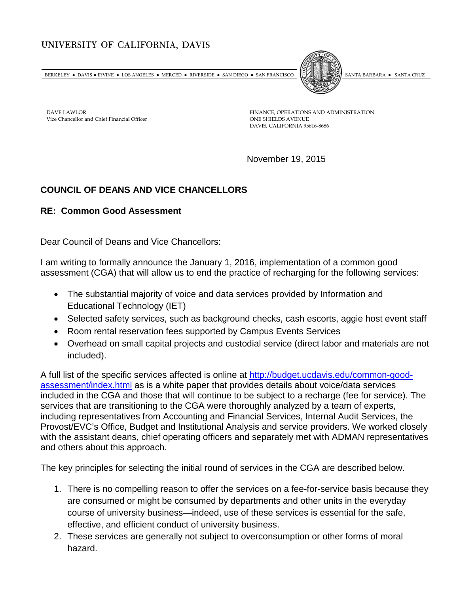## UNIVERSITY OF CALIFORNIA, DAVIS

BERKELEY • DAVIS • IRVINE • LOS ANGELES • MERCED • RIVERSIDE • SAN DIEGO • SAN FRANCISCO SANTA BARBARA • SANTA CRUZ



DAVE LAWLOR Vice Chancellor and Chief Financial Officer FINANCE, OPERATIONS AND ADMINISTRATION ONE SHIELDS AVENUE DAVIS, CALIFORNIA 95616-8686

November 19, 2015

## **COUNCIL OF DEANS AND VICE CHANCELLORS**

## **RE: Common Good Assessment**

Dear Council of Deans and Vice Chancellors:

I am writing to formally announce the January 1, 2016, implementation of a common good assessment (CGA) that will allow us to end the practice of recharging for the following services:

- The substantial majority of voice and data services provided by Information and Educational Technology (IET)
- Selected safety services, such as background checks, cash escorts, aggie host event staff
- Room rental reservation fees supported by Campus Events Services
- Overhead on small capital projects and custodial service (direct labor and materials are not included).

A full list of the specific services affected is online at [http://budget.ucdavis.edu/common-good](http://budget.ucdavis.edu/common-good-assessment/index.html)[assessment/index.html](http://budget.ucdavis.edu/common-good-assessment/index.html) as is a white paper that provides details about voice/data services included in the CGA and those that will continue to be subject to a recharge (fee for service). The services that are transitioning to the CGA were thoroughly analyzed by a team of experts, including representatives from Accounting and Financial Services, Internal Audit Services, the Provost/EVC's Office, Budget and Institutional Analysis and service providers. We worked closely with the assistant deans, chief operating officers and separately met with ADMAN representatives and others about this approach.

The key principles for selecting the initial round of services in the CGA are described below.

- 1. There is no compelling reason to offer the services on a fee-for-service basis because they are consumed or might be consumed by departments and other units in the everyday course of university business—indeed, use of these services is essential for the safe, effective, and efficient conduct of university business.
- 2. These services are generally not subject to overconsumption or other forms of moral hazard.